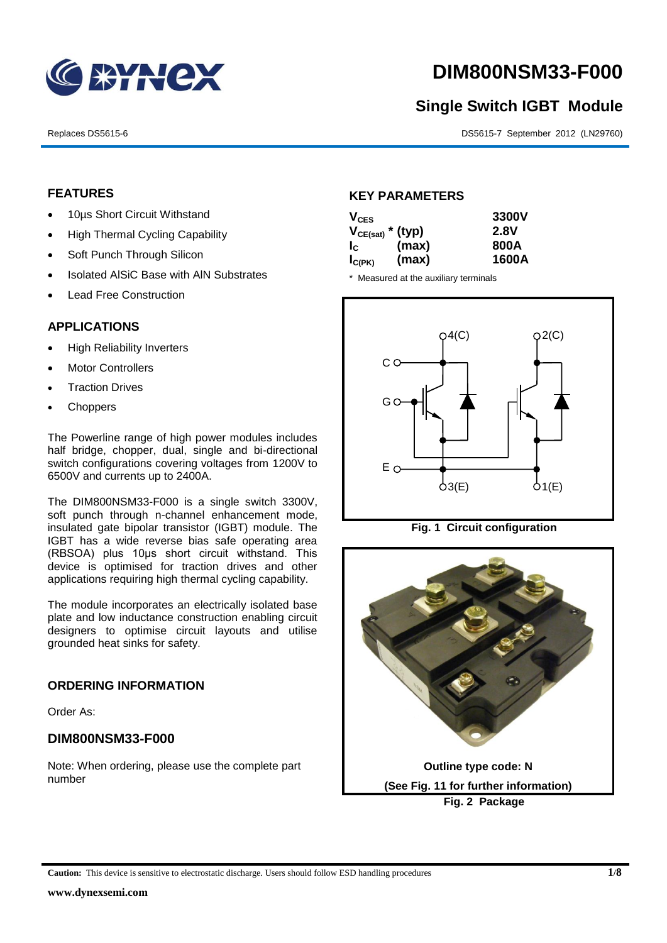

# **DIM800NSM33-F000**

# **Single Switch IGBT Module**

Replaces DS5615-6 DS5615-7 September 2012 (LN29760)

### **FEATURES**

- 10µs Short Circuit Withstand
- High Thermal Cycling Capability
- Soft Punch Through Silicon
- Isolated AISiC Base with AIN Substrates
- Lead Free Construction

### **APPLICATIONS**

- High Reliability Inverters
- Motor Controllers
- Traction Drives
- **Choppers**

The Powerline range of high power modules includes half bridge, chopper, dual, single and bi-directional switch configurations covering voltages from 1200V to 6500V and currents up to 2400A.

The DIM800NSM33-F000 is a single switch 3300V, soft punch through n-channel enhancement mode, insulated gate bipolar transistor (IGBT) module. The IGBT has a wide reverse bias safe operating area (RBSOA) plus 10μs short circuit withstand. This device is optimised for traction drives and other applications requiring high thermal cycling capability.

The module incorporates an electrically isolated base plate and low inductance construction enabling circuit designers to optimise circuit layouts and utilise grounded heat sinks for safety.

### **ORDERING INFORMATION**

Order As:

### **DIM800NSM33-F000**

Note: When ordering, please use the complete part number

### **KEY PARAMETERS**

| $V_{CES}$                 |       | 3300V |
|---------------------------|-------|-------|
| $V_{CE(sat)}$ * (typ)     |       | 2.8V  |
| $\mathbf{I}_{\mathbf{C}}$ | (max) | 800A  |
| $I_{C(PK)}$               | (max) | 1600A |

\* Measured at the auxiliary terminals



**Fig. 1 Circuit configuration**



**Caution:** This device is sensitive to electrostatic discharge. Users should follow ESD handling procedures **1/8**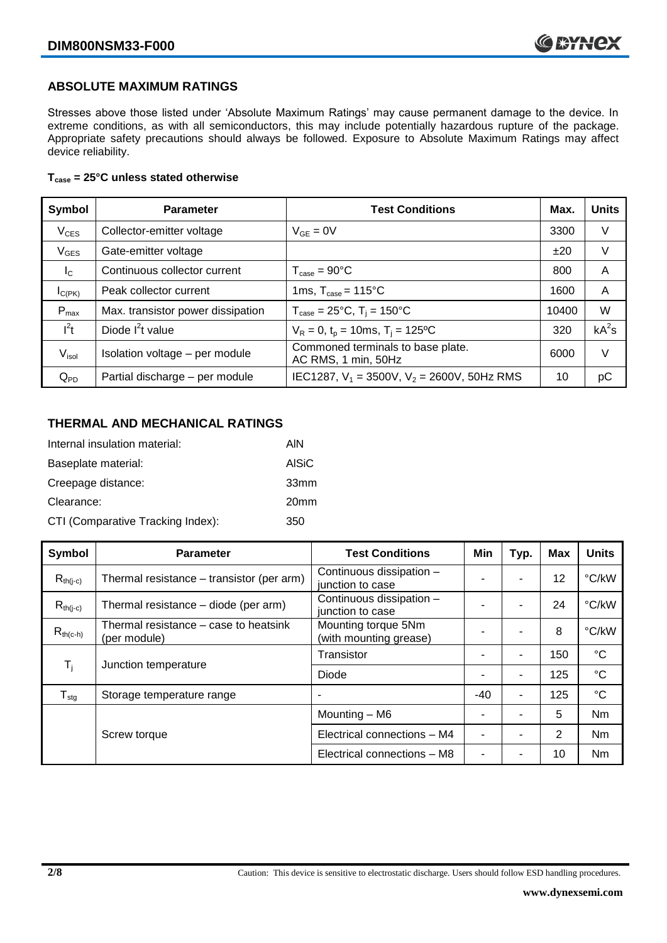### **ABSOLUTE MAXIMUM RATINGS**

Stresses above those listed under 'Absolute Maximum Ratings' may cause permanent damage to the device. In extreme conditions, as with all semiconductors, this may include potentially hazardous rupture of the package. Appropriate safety precautions should always be followed. Exposure to Absolute Maximum Ratings may affect device reliability.

### **Tcase = 25°C unless stated otherwise**

| Symbol           | <b>Parameter</b>                  | <b>Test Conditions</b>                                   | Max.  | <b>Units</b> |
|------------------|-----------------------------------|----------------------------------------------------------|-------|--------------|
| $V_{CES}$        | Collector-emitter voltage         | $V_{GE} = 0V$                                            | 3300  | V            |
| $V_{GES}$        | Gate-emitter voltage              |                                                          | ±20   | V            |
| $I_{\rm C}$      | Continuous collector current      | $T_{\text{case}} = 90^{\circ}C$                          | 800   | A            |
| $I_{C(PK)}$      | Peak collector current            | 1ms, $T_{\text{case}} = 115^{\circ}$ C                   | 1600  | A            |
| $P_{\text{max}}$ | Max. transistor power dissipation | $T_{\text{case}} = 25^{\circ}C$ , $T_i = 150^{\circ}C$   | 10400 | W            |
| $l^2t$           | Diode $I^2t$ value                | $V_R = 0$ , $t_p = 10$ ms, $T_i = 125$ °C                | 320   | $kA^2s$      |
| $V_{\sf isol}$   | Isolation voltage - per module    | Commoned terminals to base plate.<br>AC RMS, 1 min, 50Hz | 6000  | V            |
| $Q_{PD}$         | Partial discharge - per module    | IEC1287, $V_1 = 3500V$ , $V_2 = 2600V$ , 50Hz RMS        | 10    | рC           |

### **THERMAL AND MECHANICAL RATINGS**

| Internal insulation material:     | AIN              |
|-----------------------------------|------------------|
| Baseplate material:               | <b>AISiC</b>     |
| Creepage distance:                | 33mm             |
| Clearance:                        | 20 <sub>mm</sub> |
| CTI (Comparative Tracking Index): | 350              |

| Symbol                                            | <b>Parameter</b>                                                                     | <b>Test Conditions</b>                        | Min   | Typ. | <b>Max</b> | <b>Units</b>    |
|---------------------------------------------------|--------------------------------------------------------------------------------------|-----------------------------------------------|-------|------|------------|-----------------|
| $R_{th(i-c)}$                                     | Thermal resistance - transistor (per arm)                                            | Continuous dissipation -<br>junction to case  |       | ۰    | 12         | °C/kW           |
| $R_{th(i-c)}$                                     | Continuous dissipation -<br>Thermal resistance – diode (per arm)<br>junction to case |                                               |       | ۰    | 24         | °C/kW           |
| $R_{th(c-h)}$                                     | Thermal resistance – case to heatsink<br>(per module)                                | Mounting torque 5Nm<br>(with mounting grease) |       |      | 8          | °C/kW           |
|                                                   |                                                                                      | Transistor                                    |       | ۰    | 150        | $^{\circ}C$     |
| $\mathsf{T}_{\mathsf{i}}$<br>Junction temperature |                                                                                      | Diode                                         |       | ۰    | 125        | $^{\circ}C$     |
| ${\mathsf T}_{\textsf{stg}}$                      | Storage temperature range                                                            |                                               | $-40$ | ۰    | 125        | $\rm ^{\circ}C$ |
|                                                   |                                                                                      | Mounting - M6                                 |       |      | 5          | Nm              |
|                                                   | Screw torque                                                                         | Electrical connections - M4                   |       | ۰    | 2          | Nm              |
|                                                   |                                                                                      | Electrical connections - M8                   |       |      | 10         | Nm              |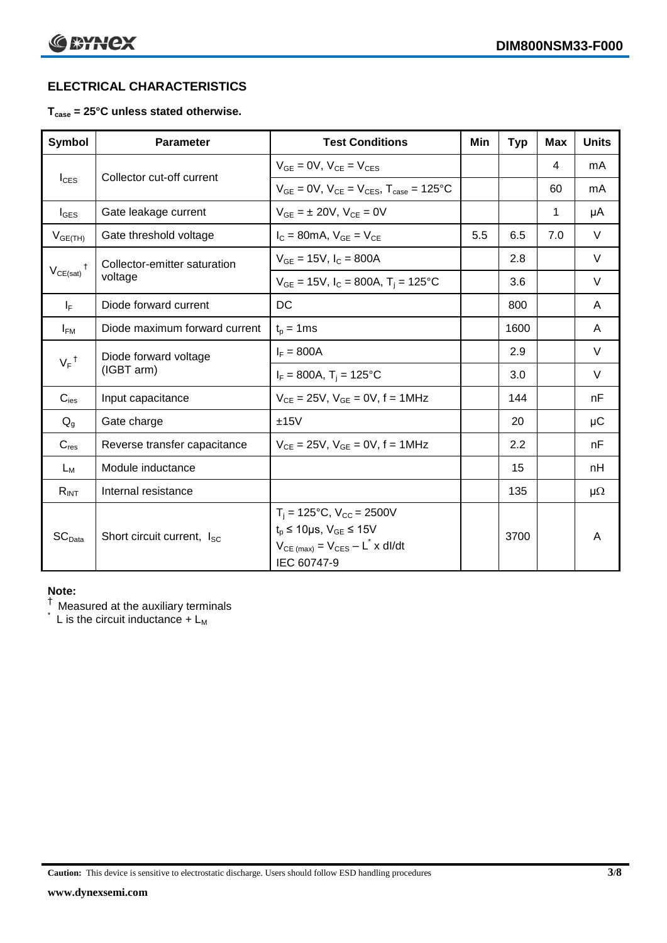### **ELECTRICAL CHARACTERISTICS**

### **Tcase = 25°C unless stated otherwise.**

| <b>Symbol</b>                            | <b>Parameter</b>                       | <b>Test Conditions</b>                                                                                                                                      | Min | <b>Typ</b> | <b>Max</b> | <b>Units</b> |
|------------------------------------------|----------------------------------------|-------------------------------------------------------------------------------------------------------------------------------------------------------------|-----|------------|------------|--------------|
| $I_{\text{CES}}$                         | Collector cut-off current              | $V_{GF} = 0V$ , $V_{CF} = V_{CES}$                                                                                                                          |     |            | 4          | mA           |
|                                          |                                        | $V_{GF} = 0V$ , $V_{CF} = V_{CES}$ , $T_{case} = 125^{\circ}C$                                                                                              |     |            | 60         | mA           |
| $I_{\text{GES}}$                         | Gate leakage current                   | $V_{GF} = \pm 20V$ , $V_{CF} = 0V$                                                                                                                          |     |            | 1          | μA           |
| $V_{GE(TH)}$                             | Gate threshold voltage                 | $I_C = 80mA$ , $V_{GE} = V_{CE}$                                                                                                                            | 5.5 | 6.5        | 7.0        | $\vee$       |
|                                          | Collector-emitter saturation           | $V_{GE} = 15V$ , $I_C = 800A$                                                                                                                               |     | 2.8        |            | $\vee$       |
| $\mathsf{V}_{\mathsf{CE}(\mathsf{sat})}$ | voltage                                | $V_{GE}$ = 15V, $I_C$ = 800A, T <sub>i</sub> = 125°C                                                                                                        |     | 3.6        |            | V            |
| $I_F$                                    | Diode forward current                  | DC                                                                                                                                                          |     | 800        |            | A            |
| $I_{FM}$                                 | Diode maximum forward current          | $t_p = 1$ ms                                                                                                                                                |     | 1600       |            | A            |
|                                          | Diode forward voltage                  | $I_F = 800A$                                                                                                                                                |     | 2.9        |            | $\vee$       |
| $V_F$ <sup>†</sup>                       | (IGBT arm)                             | $I_F = 800A$ , $T_i = 125^{\circ}C$                                                                                                                         |     | 3.0        |            | V            |
| $C_{\text{ies}}$                         | Input capacitance                      | $V_{CE} = 25V$ , $V_{GE} = 0V$ , f = 1MHz                                                                                                                   |     | 144        |            | nF           |
| $Q_q$                                    | Gate charge                            | ±15V                                                                                                                                                        |     | 20         |            | $\mu$ C      |
| $C_{res}$                                | Reverse transfer capacitance           | $V_{CE} = 25V$ , $V_{GE} = 0V$ , f = 1MHz                                                                                                                   |     | 2.2        |            | nF           |
| $L_M$                                    | Module inductance                      |                                                                                                                                                             |     | 15         |            | nH           |
| $R_{INT}$                                | Internal resistance                    |                                                                                                                                                             |     | 135        |            | $\mu\Omega$  |
| SC <sub>Data</sub>                       | Short circuit current, I <sub>SC</sub> | $T_i = 125$ °C, $V_{CC} = 2500V$<br>$t_p \le 10 \mu s$ , $V_{GE} \le 15 V$<br>$V_{CE \text{ (max)}} = V_{CES} - L^{\dagger} x \text{ dI/dt}$<br>IEC 60747-9 |     | 3700       |            | A            |

#### **Note:**

 $^\dagger$  Measured at the auxiliary terminals

L is the circuit inductance  $+ L<sub>M</sub>$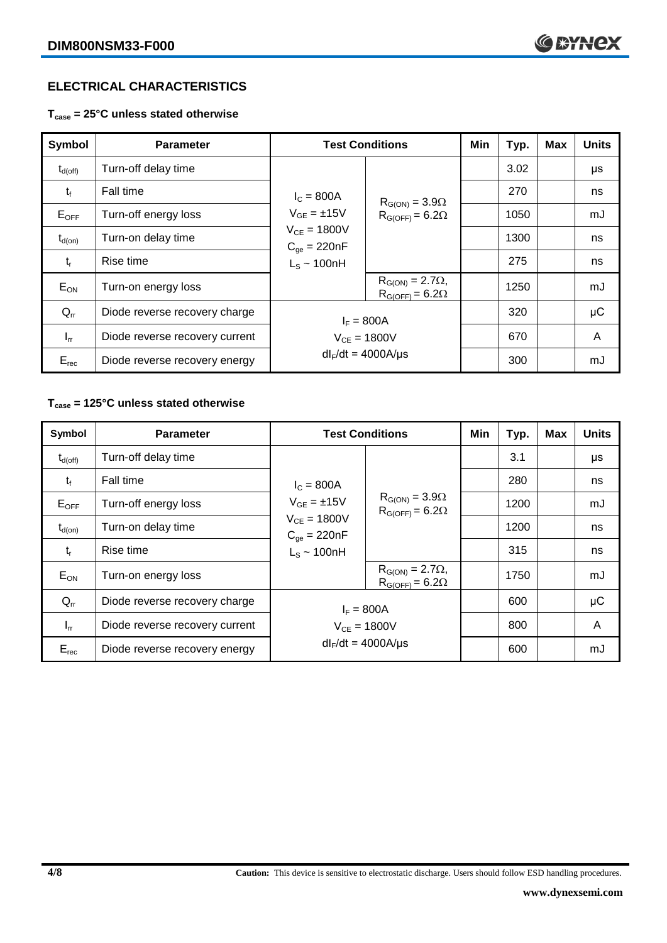### **ELECTRICAL CHARACTERISTICS**

**Tcase = 25°C unless stated otherwise**

| <b>Symbol</b>       | <b>Parameter</b>               | <b>Test Conditions</b>               |                                                       | Min | Typ. | <b>Max</b> | <b>Units</b> |
|---------------------|--------------------------------|--------------------------------------|-------------------------------------------------------|-----|------|------------|--------------|
| $t_{d(\text{off})}$ | Turn-off delay time            |                                      |                                                       |     | 3.02 |            | μs           |
| $t_{\rm f}$         | <b>Fall time</b>               | $I_c = 800A$<br>$V_{GE} = \pm 15V$   | $R_{G(ON)} = 3.9\Omega$<br>$R_{G(OFF)} = 6.2\Omega$   |     | 270  |            | ns           |
| $E_{\mathsf{OFF}}$  | Turn-off energy loss           |                                      |                                                       |     | 1050 |            | mJ           |
| $t_{d(on)}$         | Turn-on delay time             | $V_{CE} = 1800V$<br>$C_{ge} = 220nF$ |                                                       |     | 1300 |            | ns           |
| $t_{r}$             | Rise time                      | $L_S \sim 100nH$                     |                                                       |     | 275  |            | ns           |
| $E_{ON}$            | Turn-on energy loss            |                                      | $R_{G(ON)} = 2.7\Omega$ ,<br>$R_{G(OFF)} = 6.2\Omega$ |     | 1250 |            | mJ           |
| $Q_{rr}$            | Diode reverse recovery charge  | $I_F = 800A$                         |                                                       |     | 320  |            | $\mu$ C      |
| $I_{rr}$            | Diode reverse recovery current | $V_{CE} = 1800V$                     |                                                       |     | 670  |            | A            |
| $E_{rec}$           | Diode reverse recovery energy  | $dl_F/dt = 4000A/\mu s$              |                                                       |     | 300  |            | mJ           |

## **Tcase = 125°C unless stated otherwise**

| Symbol              | <b>Parameter</b>               | <b>Test Conditions</b>               |                                                       | Min | Typ. | <b>Max</b> | <b>Units</b> |
|---------------------|--------------------------------|--------------------------------------|-------------------------------------------------------|-----|------|------------|--------------|
| $t_{d(\text{off})}$ | Turn-off delay time            |                                      |                                                       |     | 3.1  |            | μs           |
| $t_{\rm f}$         | Fall time                      | $I_c = 800A$<br>$V_{GF} = \pm 15V$   | $R_{G(ON)} = 3.9\Omega$<br>$R_{G(OFF)} = 6.2\Omega$   |     | 280  |            | ns           |
| $E_{OFF}$           | Turn-off energy loss           |                                      |                                                       |     | 1200 |            | mJ           |
| $t_{d(on)}$         | Turn-on delay time             | $V_{CE} = 1800V$<br>$C_{qe} = 220nF$ |                                                       |     | 1200 |            | ns           |
| $t_{r}$             | Rise time                      | $L_S \sim 100nH$                     |                                                       |     | 315  |            | ns           |
| $E_{ON}$            | Turn-on energy loss            |                                      | $R_{G(ON)} = 2.7\Omega$ ,<br>$R_{G(OFF)} = 6.2\Omega$ |     | 1750 |            | mJ           |
| $Q_{rr}$            | Diode reverse recovery charge  | $I_F = 800A$                         |                                                       |     | 600  |            | $\mu$ C      |
| $I_{rr}$            | Diode reverse recovery current | $V_{CE} = 1800V$                     |                                                       |     | 800  |            | A            |
| $E_{rec}$           | Diode reverse recovery energy  | $dl_F/dt = 4000A/\mu s$              |                                                       |     | 600  |            | mJ           |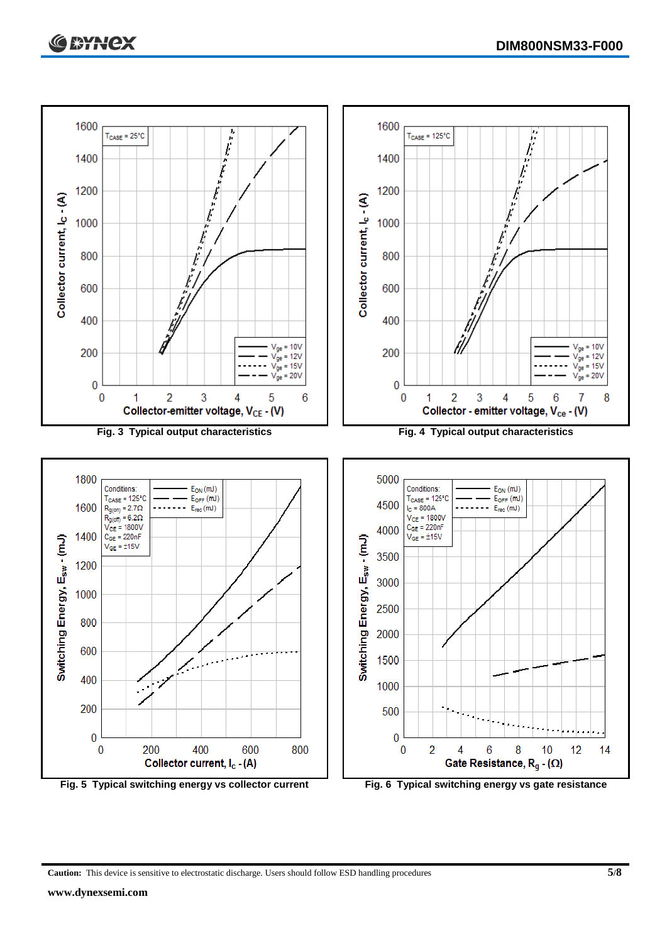

**Caution:** This device is sensitive to electrostatic discharge. Users should follow ESD handling procedures **5/8**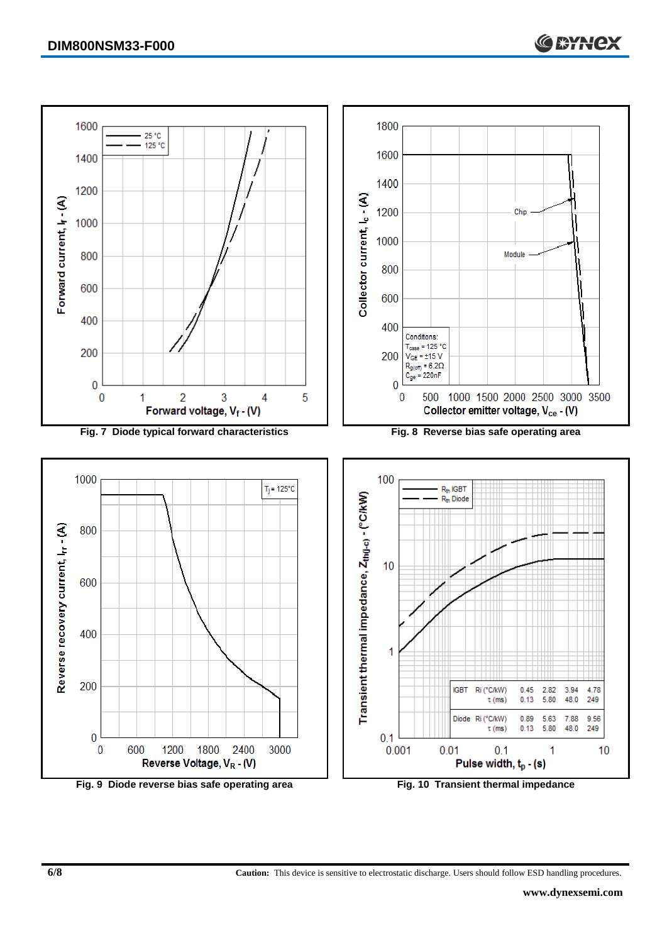

**6/8 Caution:** This device is sensitive to electrostatic discharge. Users should follow ESD handling procedures.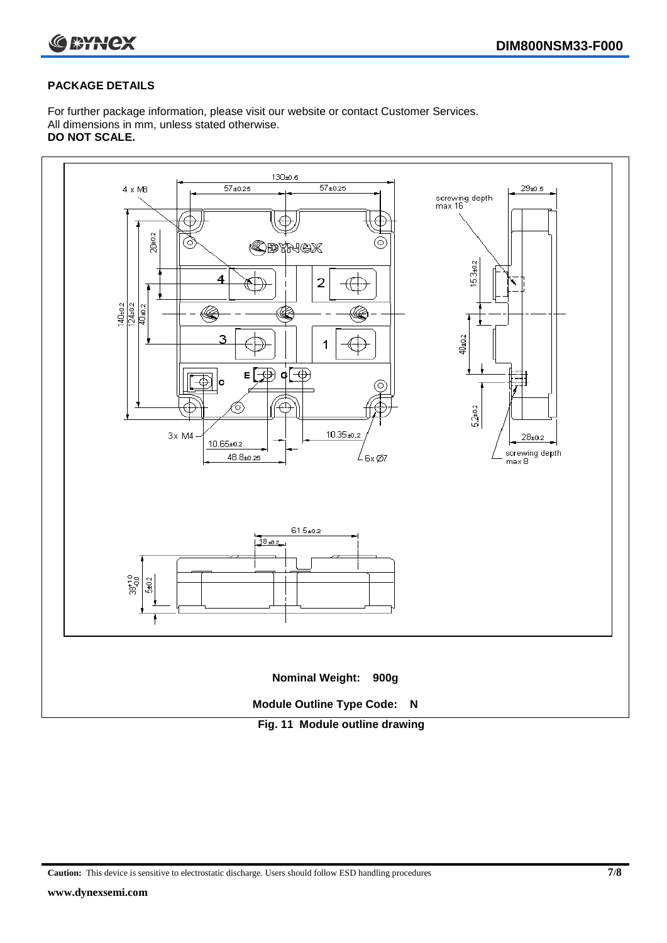

### **PACKAGE DETAILS**

For further package information, please visit our website or contact Customer Services. All dimensions in mm, unless stated otherwise. **DO NOT SCALE.**



**Caution:** This device is sensitive to electrostatic discharge. Users should follow ESD handling procedures **7/8**